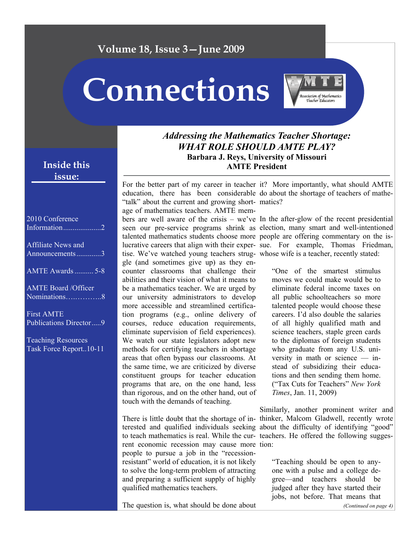## **Volume 18, Issue 3—June 2009**

# **Connections**



### *Addressing the Mathematics Teacher Shortage: WHAT ROLE SHOULD AMTE PLAY?*  **Barbara J. Reys, University of Missouri AMTE President**

education, there has been considerable do about the shortage of teachers of mathe-"talk" about the current and growing short- matics? age of mathematics teachers. AMTE mem-

talented mathematics students choose more people are offering commentary on the istise. We've watched young teachers strug-whose wife is a teacher, recently stated: gle (and sometimes give up) as they encounter classrooms that challenge their abilities and their vision of what it means to be a mathematics teacher. We are urged by our university administrators to develop more accessible and streamlined certification programs (e.g., online delivery of courses, reduce education requirements, eliminate supervision of field experiences). We watch our state legislators adopt new methods for certifying teachers in shortage areas that often bypass our classrooms. At the same time, we are criticized by diverse constituent groups for teacher education programs that are, on the one hand, less than rigorous, and on the other hand, out of touch with the demands of teaching.

to teach mathematics is real. While the cur-teachers. He offered the following suggesrent economic recession may cause more tion: people to pursue a job in the "recessionresistant" world of education, it is not likely to solve the long-term problem of attracting and preparing a sufficient supply of highly qualified mathematics teachers.

The question is, what should be done about

For the better part of my career in teacher it? More importantly, what should AMTE

bers are well aware of the crisis – we've In the after-glow of the recent presidential seen our pre-service programs shrink as election, many smart and well-intentioned lucrative careers that align with their exper-sue. For example, Thomas Friedman,

> "One of the smartest stimulus moves we could make would be to eliminate federal income taxes on all public schoolteachers so more talented people would choose these careers. I'd also double the salaries of all highly qualified math and science teachers, staple green cards to the diplomas of foreign students who graduate from any U.S. university in math or science — instead of subsidizing their educations and then sending them home. ("Tax Cuts for Teachers" *New York Times*, Jan. 11, 2009)

There is little doubt that the shortage of in-thinker, Malcom Gladwell, recently wrote terested and qualified individuals seeking about the difficulty of identifying "good" Similarly, another prominent writer and

> "Teaching should be open to anyone with a pulse and a college degree—and teachers should be judged after they have started their jobs, not before. That means that

## **Inside this issue:**

| 2010 Conference                                    |
|----------------------------------------------------|
| <b>Affiliate News and</b><br>Announcements3        |
| AMTE Awards  5-8                                   |
| <b>AMTE Board /Officer</b><br>Nominations8         |
| <b>First AMTE</b><br><b>Publications Director9</b> |

Teaching Resources Task Force Report..10-11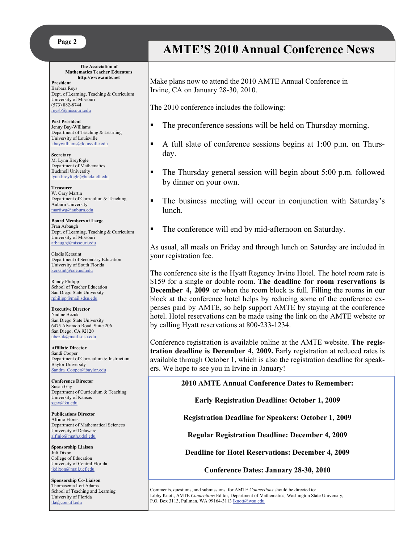#### **Page 2**

#### **The Association of Mathematics Teacher Educators http://www.amte.net**

**President**  Barbara Reys Dept. of Learning, Teaching & Curriculum University of Missouri (573) 882-8744 [reysb@missouri.edu](mailto:reysb@missouri.edu)

**Past President** Jenny Bay-Williams Department of Teaching & Learning University of Louisville [j.baywilliams@louisville.edu](mailto:j.baywilliams@louisville.edu) 

**Secretary** M. Lynn Breyfogle Department of Mathematics Bucknell University [lynn.breyfogle@bucknell.edu](mailto:lynn.breyfogle@bucknell.edu)

**Treasurer** W. Gary Martin Department of Curriculum & Teaching Auburn University [martiwg@auburn.edu](mailto:martiwg@auburn.edu)

**Board Members at Large**  Fran Arbaugh Dept. of Learning, Teaching & Curriculum University of Missouri [arbaugh@missouri.edu](mailto:arbaugh@missouri.edu)

Gladis Kersaint Department of Secondary Education University of South Florida [kersaint@coe.usf.edu](mailto:kersaint@coe.usf.edu)

Randy Philipp School of Teacher Education San Diego State University [rphilipp@mail.sdsu.edu](mailto:rphilipp@mail.sdsu.edu)

**Executive Director** Nadine Bezuk San Diego State University 6475 Alvarado Road, Suite 206 San Diego, CA 92120 [nbezuk@mail.sdsu.edu](mailto:nbezuk@mail.sdsu.edu)

**Affiliate Director**  Sandi Cooper Department of Curriculum & Instruction Baylor University Sandra Cooper@baylor.edu

**Conference Director**  Susan Gay Department of Curriculum & Teaching University of Kansas [sgay@ku.edu](mailto:sgay@ku.edu)

**Publications Director**  Alfinio Flores Department of Mathematical Sciences University of Delaware [alfinio@math.udel.edu](mailto:alfinio@math.udel.edu)

**Sponsorship Liaison**  Juli Dixon College of Education University of Central Florida [jkdixon@mail.ucf.edu](mailto:jkdixon@mail.ucf.edu)

**Sponsorship Co-Liaison**  Thomasenia Lott Adams School of Teaching and Learning University of Florida tla@coe.ufl.edu

## **AMTE'S 2010 Annual Conference News**

Make plans now to attend the 2010 AMTE Annual Conference in Irvine, CA on January 28-30, 2010.

The 2010 conference includes the following:

- The preconference sessions will be held on Thursday morning.
- A full slate of conference sessions begins at 1:00 p.m. on Thursday.
- The Thursday general session will begin about 5:00 p.m. followed by dinner on your own.
- The business meeting will occur in conjunction with Saturday's lunch.
- The conference will end by mid-afternoon on Saturday.

As usual, all meals on Friday and through lunch on Saturday are included in your registration fee.

The conference site is the Hyatt Regency Irvine Hotel. The hotel room rate is \$159 for a single or double room. **The deadline for room reservations is December 4, 2009** or when the room block is full. Filling the rooms in our block at the conference hotel helps by reducing some of the conference expenses paid by AMTE, so help support AMTE by staying at the conference hotel. Hotel reservations can be made using the link on the AMTE website or by calling Hyatt reservations at 800-233-1234.

Conference registration is available online at the AMTE website. **The registration deadline is December 4, 2009.** Early registration at reduced rates is available through October 1, which is also the registration deadline for speakers. We hope to see you in Irvine in January!

**2010 AMTE Annual Conference Dates to Remember:** 

**Early Registration Deadline: October 1, 2009** 

**Registration Deadline for Speakers: October 1, 2009** 

**Regular Registration Deadline: December 4, 2009** 

**Deadline for Hotel Reservations: December 4, 2009** 

**Conference Dates: January 28-30, 2010**

Comments, questions, and submissions for AMTE *Connections* should be directed to: Libby Knott, AMTE *Connections* Editor, Department of Mathematics, Washington State University, P.O. Box 3113, Pullman, WA 99164-3113 [lknott@wsu.edu](mailto:lknott@wsu.edu)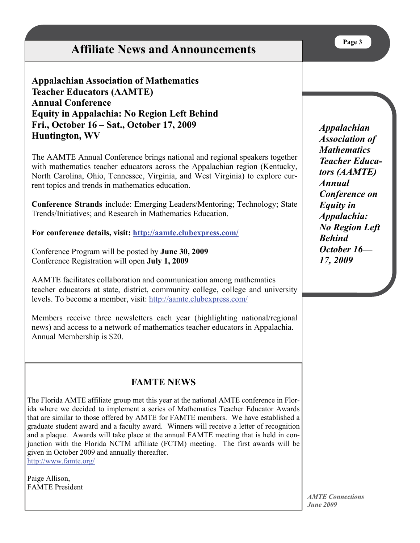# **Affiliate News and Announcements**

## **Appalachian Association of Mathematics Teacher Educators (AAMTE) Annual Conference Equity in Appalachia: No Region Left Behind Fri., October 16 – Sat., October 17, 2009 Huntington, WV**

The AAMTE Annual Conference brings national and regional speakers together with mathematics teacher educators across the Appalachian region (Kentucky, North Carolina, Ohio, Tennessee, Virginia, and West Virginia) to explore current topics and trends in mathematics education.

**Conference Strands** include: Emerging Leaders/Mentoring; Technology; State Trends/Initiatives; and Research in Mathematics Education.

**For conference details, visit: [http://aamte.clubexpress.com/](mailto:http://aamte.clubexpress.com/)**

Conference Program will be posted by **June 30, 2009** Conference Registration will open **July 1, 2009**

AAMTE facilitates collaboration and communication among mathematics teacher educators at state, district, community college, college and university levels. To become a member, visit:<http://aamte.clubexpress.com/>

Members receive three newsletters each year (highlighting national/regional news) and access to a network of mathematics teacher educators in Appalachia. Annual Membership is \$20.

## **FAMTE NEWS**

The Florida AMTE affiliate group met this year at the national AMTE conference in Florida where we decided to implement a series of Mathematics Teacher Educator Awards that are similar to those offered by AMTE for FAMTE members. We have established a graduate student award and a faculty award. Winners will receive a letter of recognition and a plaque. Awards will take place at the annual FAMTE meeting that is held in conjunction with the Florida NCTM affiliate (FCTM) meeting. The first awards will be given in October 2009 and annually thereafter. <http://www.famte.org/>

Paige Allison, FAMTE President *Appalachian Association of Mathematics Teacher Educators (AAMTE) Annual Conference on Equity in Appalachia: No Region Left Behind October 16— 17, 2009*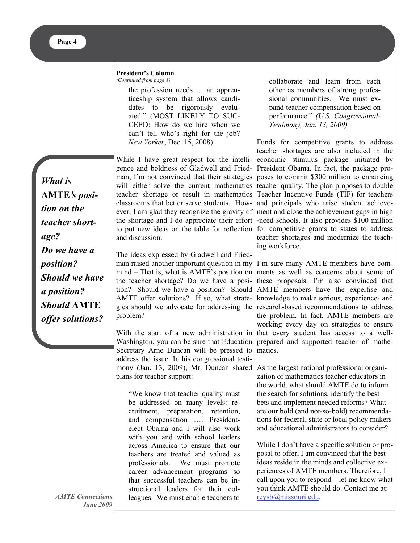#### **President's Column**

*(Continued from page 1)* 

the profession needs … an apprenticeship system that allows candidates to be rigorously evaluated." (MOST LIKELY TO SUC-CEED: How do we hire when we can't tell who's right for the job? *New Yorker*, Dec. 15, 2008)

*What is*  **AMTE***'s position on the teacher shortage? Do we have a position? Should we have a position? Should* **AMTE** *offer solutions?* 

While I have great respect for the intelli-economic stimulus package initiated by gence and boldness of Gladwell and Fried-President Obama. In fact, the package proman, I'm not convinced that their strategies poses to commit \$300 million to enhancing will either solve the current mathematics teacher quality. The plan proposes to double teacher shortage or result in mathematics Teacher Incentive Funds (TIF) for teachers classrooms that better serve students. How-and principals who raise student achieveever, I am glad they recognize the gravity of ment and close the achievement gaps in high the shortage and I do appreciate their effort -need schools. It also provides \$100 million to put new ideas on the table for reflection for competitive grants to states to address and discussion.

The ideas expressed by Gladwell and Friedman raised another important question in my I'm sure many AMTE members have commind – That is, what is AMTE's position on ments as well as concerns about some of the teacher shortage? Do we have a posi-these proposals. I'm also convinced that tion? Should we have a position? Should AMTE members have the expertise and AMTE offer solutions? If so, what strate-knowledge to make serious, experience- and gies should we advocate for addressing the research-based recommendations to address problem?

With the start of a new administration in that every student has access to a well-Washington, you can be sure that Education prepared and supported teacher of mathe-Secretary Arne Duncan will be pressed to matics. address the issue. In his congressional testimony (Jan. 13, 2009), Mr. Duncan shared As the largest national professional organiplans for teacher support:

"We know that teacher quality must be addressed on many levels: recruitment, preparation, retention, and compensation …. Presidentelect Obama and I will also work with you and with school leaders across America to ensure that our teachers are treated and valued as professionals. We must promote career advancement programs so that successful teachers can be instructional leaders for their colleagues. We must enable teachers to

collaborate and learn from each other as members of strong professional communities. We must expand teacher compensation based on performance." *(U.S. Congressional-Testimony, Jan. 13, 2009)*

Funds for competitive grants to address teacher shortages are also included in the teacher shortages and modernize the teaching workforce.

the problem. In fact, AMTE members are working every day on strategies to ensure

zation of mathematics teacher educators in the world, what should AMTE do to inform the search for solutions, identify the best bets and implement needed reforms? What are our bold (and not-so-bold) recommendations for federal, state or local policy makers and educational administrators to consider?

While I don't have a specific solution or proposal to offer, I am convinced that the best ideas reside in the minds and collective experiences of AMTE members. Therefore, I call upon you to respond – let me know what you think AMTE should do. Contact me at: [reysb@missouri.edu](mailto:reysb@missouri.edu).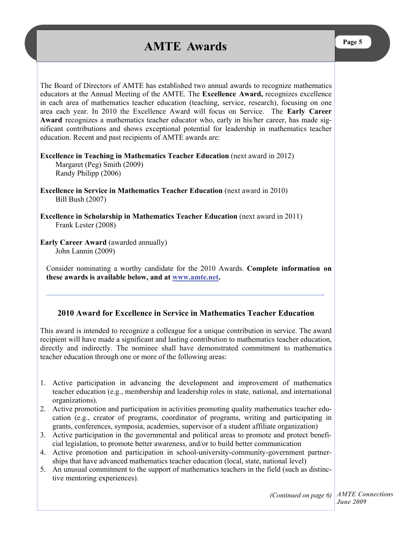# **AMTE Awards Page 5**

The Board of Directors of AMTE has established two annual awards to recognize mathematics educators at the Annual Meeting of the AMTE. The **Excellence Award,** recognizes excellence in each area of mathematics teacher education (teaching, service, research), focusing on one area each year. In 2010 the Excellence Award will focus on Service. The **Early Career Award** recognizes a mathematics teacher educator who, early in his/her career, has made significant contributions and shows exceptional potential for leadership in mathematics teacher education. Recent and past recipients of AMTE awards are:

**Excellence in Teaching in Mathematics Teacher Education** (next award in 2012) Margaret (Peg) Smith (2009) Randy Philipp (2006)

**Excellence in Service in Mathematics Teacher Education** (next award in 2010) Bill Bush (2007)

**Excellence in Scholarship in Mathematics Teacher Education** (next award in 2011) Frank Lester (2008)

**Early Career Award (awarded annually)** John Lannin (2009)

Consider nominating a worthy candidate for the 2010 Awards. **Complete information on these awards is available below, and at [www.amte.net](http://www.amte.net).** 

#### **2010 Award for Excellence in Service in Mathematics Teacher Education**

**—————————————————————————————————–———-** 

This award is intended to recognize a colleague for a unique contribution in service. The award recipient will have made a significant and lasting contribution to mathematics teacher education, directly and indirectly. The nominee shall have demonstrated commitment to mathematics teacher education through one or more of the following areas:

- 1. Active participation in advancing the development and improvement of mathematics teacher education (e.g., membership and leadership roles in state, national, and international organizations).
- 2. Active promotion and participation in activities promoting quality mathematics teacher education (e.g., creator of programs, coordinator of programs, writing and participating in grants, conferences, symposia, academies, supervisor of a student affiliate organization)
- 3. Active participation in the governmental and political areas to promote and protect beneficial legislation, to promote better awareness, and/or to build better communication
- 4. Active promotion and participation in school-university-community-government partnerships that have advanced mathematics teacher education (local, state, national level)
- 5. An unusual commitment to the support of mathematics teachers in the field (such as distinctive mentoring experiences).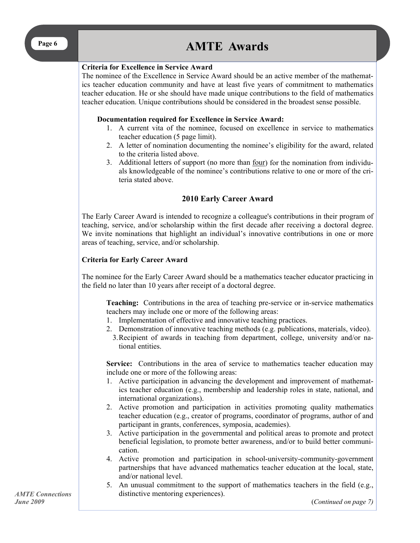# **Page 6 AMTE Awards**

#### **Criteria for Excellence in Service Award**

The nominee of the Excellence in Service Award should be an active member of the mathematics teacher education community and have at least five years of commitment to mathematics teacher education. He or she should have made unique contributions to the field of mathematics teacher education. Unique contributions should be considered in the broadest sense possible.

#### **Documentation required for Excellence in Service Award:**

- 1. A current vita of the nominee, focused on excellence in service to mathematics teacher education (5 page limit).
- 2. A letter of nomination documenting the nominee's eligibility for the award, related to the criteria listed above.
- 3. Additional letters of support (no more than four) for the nomination from individuals knowledgeable of the nominee's contributions relative to one or more of the criteria stated above.

#### **2010 Early Career Award**

The Early Career Award is intended to recognize a colleague's contributions in their program of teaching, service, and/or scholarship within the first decade after receiving a doctoral degree. We invite nominations that highlight an individual's innovative contributions in one or more areas of teaching, service, and/or scholarship.

#### **Criteria for Early Career Award**

The nominee for the Early Career Award should be a mathematics teacher educator practicing in the field no later than 10 years after receipt of a doctoral degree.

**Teaching:** Contributions in the area of teaching pre-service or in-service mathematics teachers may include one or more of the following areas:

- 1. Implementation of effective and innovative teaching practices.
- 2. Demonstration of innovative teaching methods (e.g. publications, materials, video).
- 3. Recipient of awards in teaching from department, college, university and/or national entities.

**Service:** Contributions in the area of service to mathematics teacher education may include one or more of the following areas:

- 1. Active participation in advancing the development and improvement of mathematics teacher education (e.g., membership and leadership roles in state, national, and international organizations).
- 2. Active promotion and participation in activities promoting quality mathematics teacher education (e.g., creator of programs, coordinator of programs, author of and participant in grants, conferences, symposia, academies).
- 3. Active participation in the governmental and political areas to promote and protect beneficial legislation, to promote better awareness, and/or to build better communication.
- 4. Active promotion and participation in school-university-community-government partnerships that have advanced mathematics teacher education at the local, state, and/or national level.
- 5. An unusual commitment to the support of mathematics teachers in the field (e.g., distinctive mentoring experiences).

(*Continued on page 7)*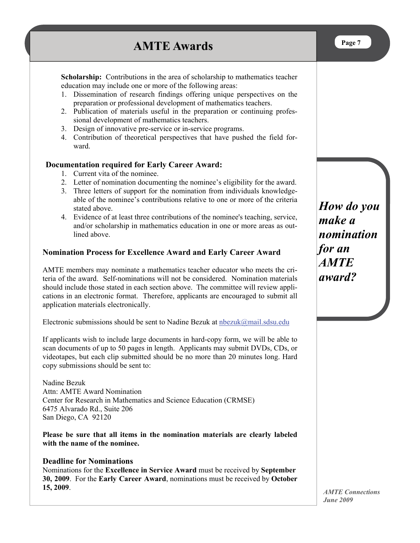# **AMTE Awards**

**Scholarship:** Contributions in the area of scholarship to mathematics teacher education may include one or more of the following areas:

- 1. Dissemination of research findings offering unique perspectives on the preparation or professional development of mathematics teachers.
- 2. Publication of materials useful in the preparation or continuing professional development of mathematics teachers.
- 3. Design of innovative pre-service or in-service programs.
- 4. Contribution of theoretical perspectives that have pushed the field forward.

#### **Documentation required for Early Career Award:**

- 1. Current vita of the nominee.
- 2. Letter of nomination documenting the nominee's eligibility for the award.
- 3. Three letters of support for the nomination from individuals knowledgeable of the nominee's contributions relative to one or more of the criteria stated above.
- 4. Evidence of at least three contributions of the nominee's teaching, service, and/or scholarship in mathematics education in one or more areas as outlined above.

#### **Nomination Process for Excellence Award and Early Career Award**

AMTE members may nominate a mathematics teacher educator who meets the criteria of the award. Self-nominations will not be considered. Nomination materials should include those stated in each section above. The committee will review applications in an electronic format. Therefore, applicants are encouraged to submit all application materials electronically.

Electronic submissions should be sent to Nadine Bezuk at  $n$  here  $\alpha$  mail.sdsu.edu

If applicants wish to include large documents in hard-copy form, we will be able to scan documents of up to 50 pages in length. Applicants may submit DVDs, CDs, or videotapes, but each clip submitted should be no more than 20 minutes long. Hard copy submissions should be sent to:

Nadine Bezuk Attn: AMTE Award Nomination Center for Research in Mathematics and Science Education (CRMSE) 6475 Alvarado Rd., Suite 206 San Diego, CA 92120

**Please be sure that all items in the nomination materials are clearly labeled with the name of the nominee.** 

#### **Deadline for Nominations**

Nominations for the **Excellence in Service Award** must be received by **September 30, 2009**. For the **Early Career Award**, nominations must be received by **October 15, 2009**.

*How do you make a nomination for an AMTE award?*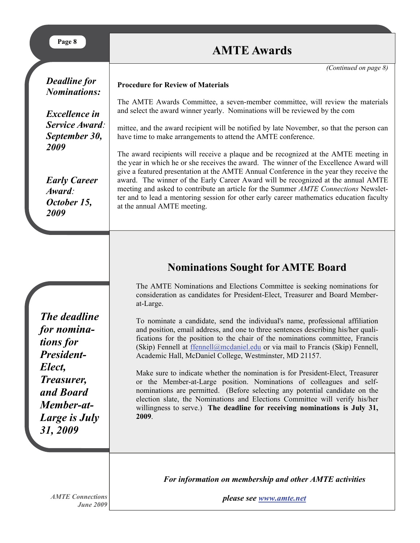| Page 8                                                        | <b>AMTE Awards</b>                                                                                                                                                                                                                                                                                                                                                                                                                                                                                                                                                               |  |  |
|---------------------------------------------------------------|----------------------------------------------------------------------------------------------------------------------------------------------------------------------------------------------------------------------------------------------------------------------------------------------------------------------------------------------------------------------------------------------------------------------------------------------------------------------------------------------------------------------------------------------------------------------------------|--|--|
|                                                               | (Continued on page 8)                                                                                                                                                                                                                                                                                                                                                                                                                                                                                                                                                            |  |  |
| <b>Deadline for</b><br><b>Nominations:</b>                    | <b>Procedure for Review of Materials</b>                                                                                                                                                                                                                                                                                                                                                                                                                                                                                                                                         |  |  |
| <b>Excellence</b> in                                          | The AMTE Awards Committee, a seven-member committee, will review the materials<br>and select the award winner yearly. Nominations will be reviewed by the com-                                                                                                                                                                                                                                                                                                                                                                                                                   |  |  |
| Service Award:<br>September 30,<br>2009                       | mittee, and the award recipient will be notified by late November, so that the person can<br>have time to make arrangements to attend the AMTE conference.                                                                                                                                                                                                                                                                                                                                                                                                                       |  |  |
| <b>Early Career</b><br>Award:<br>October 15,<br>2009          | The award recipients will receive a plaque and be recognized at the AMTE meeting in<br>the year in which he or she receives the award. The winner of the Excellence Award will<br>give a featured presentation at the AMTE Annual Conference in the year they receive the<br>award. The winner of the Early Career Award will be recognized at the annual AMTE<br>meeting and asked to contribute an article for the Summer AMTE Connections Newslet-<br>ter and to lead a mentoring session for other early career mathematics education faculty<br>at the annual AMTE meeting. |  |  |
|                                                               |                                                                                                                                                                                                                                                                                                                                                                                                                                                                                                                                                                                  |  |  |
|                                                               | <b>Nominations Sought for AMTE Board</b>                                                                                                                                                                                                                                                                                                                                                                                                                                                                                                                                         |  |  |
|                                                               | The AMTE Nominations and Elections Committee is seeking nominations for<br>consideration as candidates for President-Elect, Treasurer and Board Member-<br>at-Large.                                                                                                                                                                                                                                                                                                                                                                                                             |  |  |
| The deadline<br>for nomina-<br>tions for<br><b>President-</b> | To nominate a candidate, send the individual's name, professional affiliation<br>and position, email address, and one to three sentences describing his/her quali-<br>fications for the position to the chair of the nominations committee, Francis<br>(Skip) Fennell at ffennell@mcdaniel.edu or via mail to Francis (Skip) Fennell,<br>Academic Hall, McDaniel College, Westminster, MD 21157.                                                                                                                                                                                 |  |  |

*For information on membership and other AMTE activities* 

*AMTE Connections June 2009*  *please see [www.amte.net](http://www.amte.net/)*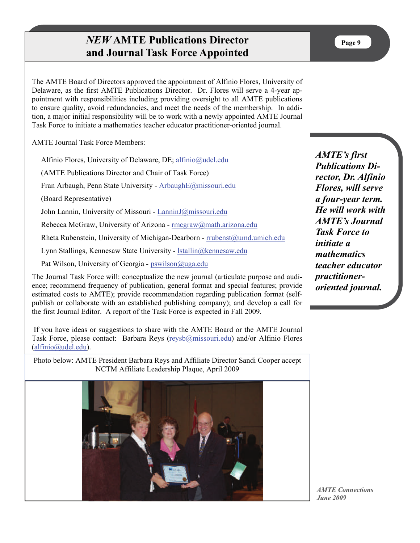## *NEW* **AMTE Publications Director and Journal Task Force Appointed**

The AMTE Board of Directors approved the appointment of Alfinio Flores, University of Delaware, as the first AMTE Publications Director. Dr. Flores will serve a 4-year appointment with responsibilities including providing oversight to all AMTE publications to ensure quality, avoid redundancies, and meet the needs of the membership. In addition, a major initial responsibility will be to work with a newly appointed AMTE Journal Task Force to initiate a mathematics teacher educator practitioner-oriented journal.

AMTE Journal Task Force Members:

Alfinio Flores, University of Delaware, DE; [alfinio@udel.edu](mailto:aflores@udel.edu)

(AMTE Publications Director and Chair of Task Force)

Fran Arbaugh, Penn State University - [ArbaughE@missouri.edu](mailto:ArbaughE@missouri.edu)

(Board Representative)

John Lannin, University of Missouri - [LanninJ@missouri.edu](mailto:LanninJ@missouri.edu)

Rebecca McGraw, University of Arizona - [rmcgraw@math.arizona.edu](mailto:rmcgraw@math.arizona.edu)

Rheta Rubenstein, University of Michigan-Dearborn - [rrubenst@umd.umich.edu](mailto:rrubenst@umd.umich.edu)

Lynn Stallings, Kennesaw State University - [lstallin@kennesaw.edu](mailto:lstallin@kennesaw.edu)

Pat Wilson, University of Georgia - [pswilson@uga.edu](mailto:pswilson@uga.edu)

The Journal Task Force will: conceptualize the new journal (articulate purpose and audience; recommend frequency of publication, general format and special features; provide estimated costs to AMTE); provide recommendation regarding publication format (selfpublish or collaborate with an established publishing company); and develop a call for the first Journal Editor. A report of the Task Force is expected in Fall 2009.

 If you have ideas or suggestions to share with the AMTE Board or the AMTE Journal Task Force, please contact: Barbara Reys ([reysb@missouri.edu](mailto:reysb@missouri.edu)) and/or Alfinio Flores [\(alfinio@udel.edu](mailto:alfinio@udel.edu)).

Photo below: AMTE President Barbara Reys and Affiliate Director Sandi Cooper accept NCTM Affiliate Leadership Plaque, April 2009



*AMTE's first Publications Director, Dr. Alfinio Flores, will serve a four-year term. He will work with AMTE's Journal Task Force to initiate a mathematics teacher educator practitioneroriented journal.*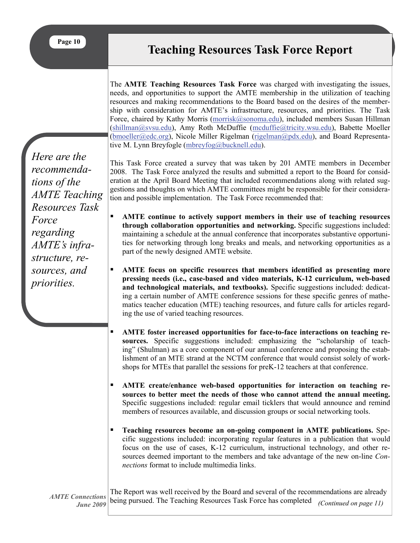The **AMTE Teaching Resources Task Force** was charged with investigating the issues, needs, and opportunities to support the AMTE membership in the utilization of teaching resources and making recommendations to the Board based on the desires of the membership with consideration for AMTE's infrastructure, resources, and priorities. The Task Force, chaired by Kathy Morris [\(morrisk@sonoma.edu](mailto:morrisk@sonoma.edu)), included members Susan Hillman [\(shillman@svsu.edu](mailto:shillman@svsu.edu)), Amy Roth McDuffie [\(mcduffie@tricity.wsu.edu](mailto:mcduffie@tricity.wsu.edu)), Babette Moeller [\(bmoeller@edc.org](mailto:bmoeller@edc.org)), Nicole Miller Rigelman [\(rigelman@pdx.edu](mailto:rigelman@pdx.edu)), and Board Representative M. Lynn Breyfogle ([mbreyfog@bucknell.edu](mailto:mbreyfog@bucknell.edu)).

*Here are the recommendations of the AMTE Teaching Resources Task Force regarding AMTE's infrastructure, resources, and priorities.* 

This Task Force created a survey that was taken by 201 AMTE members in December 2008. The Task Force analyzed the results and submitted a report to the Board for consideration at the April Board Meeting that included recommendations along with related suggestions and thoughts on which AMTE committees might be responsible for their consideration and possible implementation. The Task Force recommended that:

- **AMTE continue to actively support members in their use of teaching resources through collaboration opportunities and networking.** Specific suggestions included: maintaining a schedule at the annual conference that incorporates substantive opportunities for networking through long breaks and meals, and networking opportunities as a part of the newly designed AMTE website.
- **AMTE focus on specific resources that members identified as presenting more pressing needs (i.e., case-based and video materials, K-12 curriculum, web-based and technological materials, and textbooks).** Specific suggestions included: dedicating a certain number of AMTE conference sessions for these specific genres of mathematics teacher education (MTE) teaching resources, and future calls for articles regarding the use of varied teaching resources.
- **AMTE foster increased opportunities for face-to-face interactions on teaching resources.** Specific suggestions included: emphasizing the "scholarship of teaching" (Shulman) as a core component of our annual conference and proposing the establishment of an MTE strand at the NCTM conference that would consist solely of workshops for MTEs that parallel the sessions for preK-12 teachers at that conference.
- **AMTE** create/enhance web-based opportunities for interaction on teaching re**sources to better meet the needs of those who cannot attend the annual meeting.**  Specific suggestions included: regular email ticklers that would announce and remind members of resources available, and discussion groups or social networking tools.
- **Teaching resources become an on-going component in AMTE publications.** Specific suggestions included: incorporating regular features in a publication that would focus on the use of cases, K-12 curriculum, instructional technology, and other resources deemed important to the members and take advantage of the new on-line *Connections* format to include multimedia links.

*AMTE Connections June 2009* 

The Report was well received by the Board and several of the recommendations are already being pursued. The Teaching Resources Task Force has completed *(Continued on page 11)*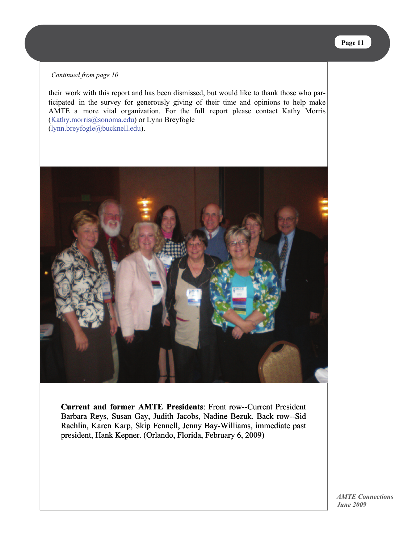#### *Continued from page 10*

their work with this report and has been dismissed, but would like to thank those who participated in the survey for generously giving of their time and opinions to help make AMTE a more vital organization. For the full report please contact Kathy Morris (Kathy.morris@sonoma.edu) or Lynn Breyfogle (lynn.breyfogle@bucknell.edu).



**Current and former AMTE Presidents**: Front row--Current President **and**  Barbara Reys, Susan Gay, Judith Jacobs, Nadine Bezuk. Back row--Sid Rachlin, Karen Karp, Skip Fennell, Jenny Bay-Williams, immediate past Rachlin, Karen Karp, Skip Fennell, Jenny Bay-Williams, imr<br>president, Hank Kepner. (Orlando, Florida, February 6, 2009)